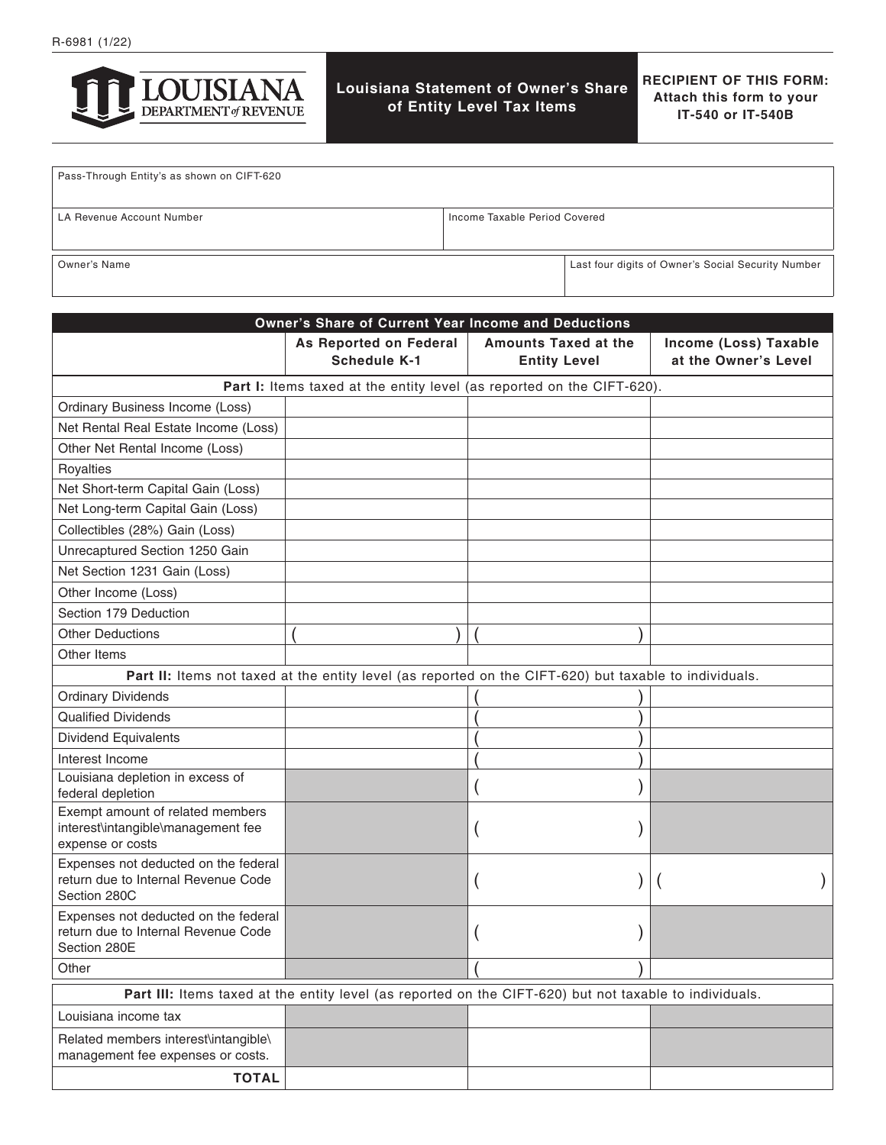

# **Louisiana Statement of Owner's Share of Entity Level Tax Items**

**RECIPIENT OF THIS FORM: Attach this form to your IT-540 or IT-540B**

| Pass-Through Entity's as shown on CIFT-620 |                               |                                                    |
|--------------------------------------------|-------------------------------|----------------------------------------------------|
| LA Revenue Account Number                  | Income Taxable Period Covered |                                                    |
| Owner's Name                               |                               | Last four digits of Owner's Social Security Number |

| Owner's Share of Current Year Income and Deductions                                                     |                                               |                                                    |                                               |  |
|---------------------------------------------------------------------------------------------------------|-----------------------------------------------|----------------------------------------------------|-----------------------------------------------|--|
|                                                                                                         | As Reported on Federal<br><b>Schedule K-1</b> | <b>Amounts Taxed at the</b><br><b>Entity Level</b> | Income (Loss) Taxable<br>at the Owner's Level |  |
| Part I: Items taxed at the entity level (as reported on the CIFT-620).                                  |                                               |                                                    |                                               |  |
| <b>Ordinary Business Income (Loss)</b>                                                                  |                                               |                                                    |                                               |  |
| Net Rental Real Estate Income (Loss)                                                                    |                                               |                                                    |                                               |  |
| Other Net Rental Income (Loss)                                                                          |                                               |                                                    |                                               |  |
| Royalties                                                                                               |                                               |                                                    |                                               |  |
| Net Short-term Capital Gain (Loss)                                                                      |                                               |                                                    |                                               |  |
| Net Long-term Capital Gain (Loss)                                                                       |                                               |                                                    |                                               |  |
| Collectibles (28%) Gain (Loss)                                                                          |                                               |                                                    |                                               |  |
| Unrecaptured Section 1250 Gain                                                                          |                                               |                                                    |                                               |  |
| Net Section 1231 Gain (Loss)                                                                            |                                               |                                                    |                                               |  |
| Other Income (Loss)                                                                                     |                                               |                                                    |                                               |  |
| Section 179 Deduction                                                                                   |                                               |                                                    |                                               |  |
| <b>Other Deductions</b>                                                                                 |                                               |                                                    |                                               |  |
| Other Items                                                                                             |                                               |                                                    |                                               |  |
| Part II: Items not taxed at the entity level (as reported on the CIFT-620) but taxable to individuals.  |                                               |                                                    |                                               |  |
| <b>Ordinary Dividends</b>                                                                               |                                               |                                                    |                                               |  |
| <b>Qualified Dividends</b>                                                                              |                                               |                                                    |                                               |  |
| Dividend Equivalents                                                                                    |                                               |                                                    |                                               |  |
| Interest Income                                                                                         |                                               |                                                    |                                               |  |
| Louisiana depletion in excess of<br>federal depletion                                                   |                                               |                                                    |                                               |  |
| Exempt amount of related members<br>interest\intangible\management fee<br>expense or costs              |                                               |                                                    |                                               |  |
| Expenses not deducted on the federal<br>return due to Internal Revenue Code<br>Section 280C             |                                               |                                                    |                                               |  |
| Expenses not deducted on the federal<br>return due to Internal Revenue Code<br>Section 280E             |                                               |                                                    |                                               |  |
| Other                                                                                                   |                                               |                                                    |                                               |  |
| Part III: Items taxed at the entity level (as reported on the CIFT-620) but not taxable to individuals. |                                               |                                                    |                                               |  |
| Louisiana income tax                                                                                    |                                               |                                                    |                                               |  |
| Related members interest\intangible\<br>management fee expenses or costs.                               |                                               |                                                    |                                               |  |
| <b>TOTAL</b>                                                                                            |                                               |                                                    |                                               |  |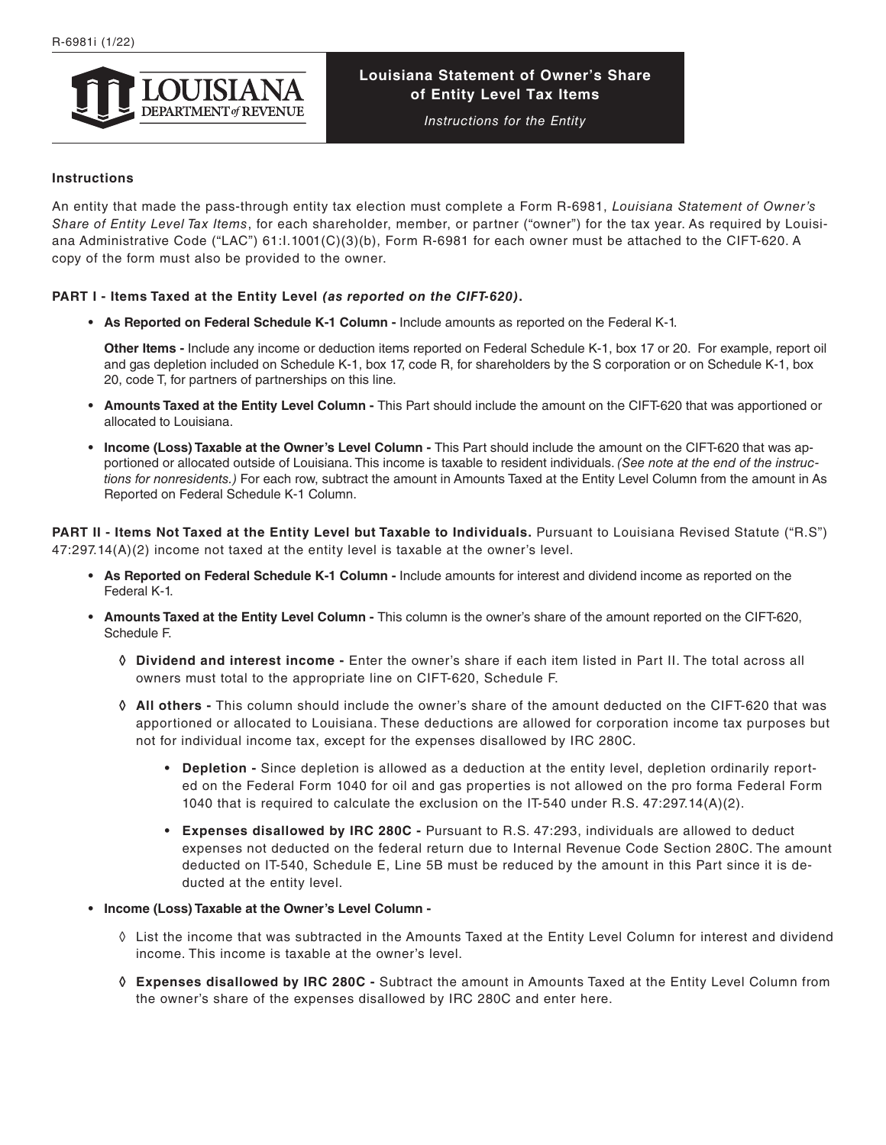

# **Louisiana Statement of Owner's Share of Entity Level Tax Items**

*Instructions for the Entity*

#### **Instructions**

An entity that made the pass-through entity tax election must complete a Form R-6981, *Louisiana Statement of Owner's Share of Entity Level Tax Items*, for each shareholder, member, or partner ("owner") for the tax year. As required by Louisiana Administrative Code ("LAC") 61:I.1001(C)(3)(b), Form R-6981 for each owner must be attached to the CIFT-620. A copy of the form must also be provided to the owner.

### **PART I - Items Taxed at the Entity Level** *(as reported on the CIFT-620)***.**

**• As Reported on Federal Schedule K-1 Column -** Include amounts as reported on the Federal K-1.

**Other Items -** Include any income or deduction items reported on Federal Schedule K-1, box 17 or 20. For example, report oil and gas depletion included on Schedule K-1, box 17, code R, for shareholders by the S corporation or on Schedule K-1, box 20, code T, for partners of partnerships on this line.

- Amounts Taxed at the Entity Level Column This Part should include the amount on the CIFT-620 that was apportioned or allocated to Louisiana.
- Income (Loss) Taxable at the Owner's Level Column This Part should include the amount on the CIFT-620 that was apportioned or allocated outside of Louisiana. This income is taxable to resident individuals. *(See note at the end of the instructions for nonresidents.)* For each row, subtract the amount in Amounts Taxed at the Entity Level Column from the amount in As Reported on Federal Schedule K-1 Column.

**PART II - Items Not Taxed at the Entity Level but Taxable to Individuals.** Pursuant to Louisiana Revised Statute ("R.S")  $47:297.14(A)(2)$  income not taxed at the entity level is taxable at the owner's level.

- **• As Reported on Federal Schedule K-1 Column** Include amounts for interest and dividend income as reported on the Federal K-1.
- **• Amounts Taxed at the Entity Level Column** This column is the owner's share of the amount reported on the CIFT-620, Schedule F.
	- **◊ Dividend and interest income** Enter the owner's share if each item listed in Part II. The total across all owners must total to the appropriate line on CIFT-620, Schedule F.
	- **◊ All others** This column should include the owner's share of the amount deducted on the CIFT-620 that was apportioned or allocated to Louisiana. These deductions are allowed for corporation income tax purposes but not for individual income tax, except for the expenses disallowed by IRC 280C.
		- **• Depletion** Since depletion is allowed as a deduction at the entity level, depletion ordinarily reported on the Federal Form 1040 for oil and gas properties is not allowed on the pro forma Federal Form 1040 that is required to calculate the exclusion on the IT-540 under R.S.  $47:297.14(A)(2)$ .
		- **• Expenses disallowed by IRC 280C** Pursuant to R.S. 47:293, individuals are allowed to deduct expenses not deducted on the federal return due to Internal Revenue Code Section 280C. The amount deducted on IT-540, Schedule E, Line 5B must be reduced by the amount in this Part since it is deducted at the entity level.
- **• Income (Loss) Taxable at the Owner's Level Column** 
	- ◊ List the income that was subtracted in the Amounts Taxed at the Entity Level Column for interest and dividend income. This income is taxable at the owner's level.
	- **◊ Expenses disallowed by IRC 280C -** Subtract the amount in Amounts Taxed at the Entity Level Column from the owner's share of the expenses disallowed by IRC 280C and enter here.